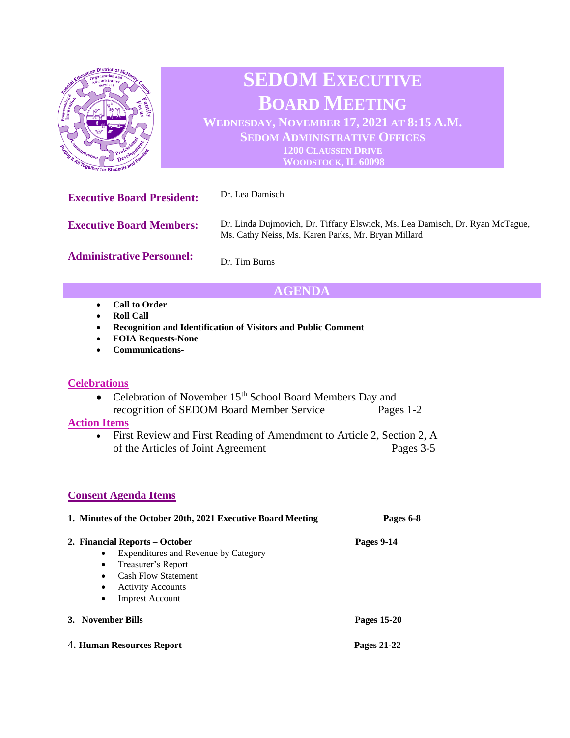

# **SEDOM EXECUTIVE BOARD MEETING WEDNESDAY, NOVEMBER 17, 2021 AT 8:15 A.M. SEDOM ADMINISTRATIVE OFFICES**

**1200 CLAUSSEN DRIVE WOODSTOCK, IL 60098**

| <b>Executive Board President:</b> | Dr. Lea Damisch                                                                                                                     |
|-----------------------------------|-------------------------------------------------------------------------------------------------------------------------------------|
| <b>Executive Board Members:</b>   | Dr. Linda Dujmovich, Dr. Tiffany Elswick, Ms. Lea Damisch, Dr. Ryan McTague,<br>Ms. Cathy Neiss, Ms. Karen Parks, Mr. Bryan Millard |
| <b>Administrative Personnel:</b>  | Dr. Tim Burns                                                                                                                       |

## **AGENDA**

- **Call to Order**
- **Roll Call**
- **Recognition and Identification of Visitors and Public Comment**
- **FOIA Requests-None**
- **Communications-**

#### **Celebrations**

• Celebration of November 15<sup>th</sup> School Board Members Day and recognition of SEDOM Board Member Service Pages 1-2

#### **Action Items**

• First Review and First Reading of Amendment to Article 2, Section 2, A of the Articles of Joint Agreement Pages 3-5

### **Consent Agenda Items**

| 1. Minutes of the October 20th, 2021 Executive Board Meeting                                                                                                                                              | Pages 6-8         |
|-----------------------------------------------------------------------------------------------------------------------------------------------------------------------------------------------------------|-------------------|
| 2. Financial Reports – October<br>Expenditures and Revenue by Category<br>٠<br>Treasurer's Report<br>٠<br><b>Cash Flow Statement</b><br>٠<br><b>Activity Accounts</b><br>٠<br><b>Imprest Account</b><br>٠ | <b>Pages 9-14</b> |
| 3. November Bills                                                                                                                                                                                         | Pages 15-20       |
| 4. Human Resources Report                                                                                                                                                                                 | Pages 21-22       |